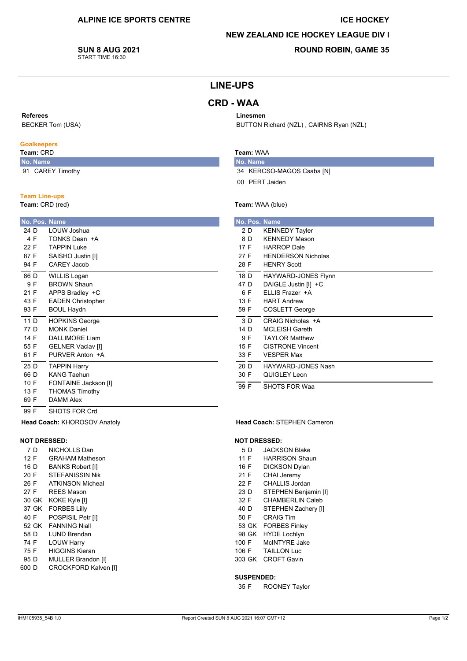#### **ICE HOCKEY**

#### **NEW ZEALAND ICE HOCKEY LEAGUE DIV I**

BUTTON Richard (NZL), CAIRNS Ryan (NZL)

**SUN 8 AUG 2021** START TIME 16:30

## **ROUND ROBIN, GAME 35**

# **LINE-UPS**

# **CRD - WAA**

#### Referees

**BECKER Tom (USA)** 

## **Goalkeepers**

#### Team: CRD No. Name

91 CAREY Timothy

### **Team Line-ups**

Team: CRD (red)

|      |     | No. Pos. Name            |  |  |  |  |
|------|-----|--------------------------|--|--|--|--|
| 24 D |     | LOUW Joshua              |  |  |  |  |
|      | 4 F | TONKS Dean +A            |  |  |  |  |
| 22 F |     | TAPPIN Luke              |  |  |  |  |
| 87 F |     | SAISHO Justin [I]        |  |  |  |  |
| 94 F |     | CARFY Jacob              |  |  |  |  |
| 86 D |     | WILLIS Logan             |  |  |  |  |
|      | 9 F | <b>BROWN Shaun</b>       |  |  |  |  |
| 21 F |     | APPS Bradley +C          |  |  |  |  |
| 43 F |     | <b>EADEN Christopher</b> |  |  |  |  |
| 93 F |     | <b>BOUL Haydn</b>        |  |  |  |  |
| 11 D |     | <b>HOPKINS George</b>    |  |  |  |  |
| 77 D |     | <b>MONK Daniel</b>       |  |  |  |  |
| 14 F |     | DALL IMORE Liam          |  |  |  |  |
| 55 F |     | <b>GELNER Vaclav [I]</b> |  |  |  |  |
| 61 F |     | PURVER Anton +A          |  |  |  |  |
| 25 D |     | <b>TAPPIN Harry</b>      |  |  |  |  |
| 66 D |     | <b>KANG Taehun</b>       |  |  |  |  |
| 10 F |     | FONTAINE Jackson [I]     |  |  |  |  |
| 13 F |     | <b>THOMAS Timothy</b>    |  |  |  |  |
| 69 F |     | <b>DAMM Alex</b>         |  |  |  |  |
| 99 F |     | SHOTS FOR Crd            |  |  |  |  |

### Team: WAA

Linesmen

No. Name 34 KERCSO-MAGOS Csaba [N] 00 PERT Jaiden

#### Team: WAA (blue)

| No. Pos. Name |                           |
|---------------|---------------------------|
| 2 D           | <b>KENNEDY Tayler</b>     |
| 8 D           | <b>KENNEDY Mason</b>      |
| 17 F          | <b>HARROP</b> Dale        |
| 27 F          | <b>HENDERSON Nicholas</b> |
| 28 F          | <b>HENRY Scott</b>        |
| 18 D          | HAYWARD-JONES Flynn       |
| 47 D          | DAIGLE Justin [I] +C      |
| 6 F           | FILIS Frazer +A           |
| 13 F          | <b>HART Andrew</b>        |
| 59 F          | COSLETT George            |
| 3D            | CRAIG Nicholas +A         |
| 14 D          | <b>MCLEISH Gareth</b>     |
| 9 F           | <b>TAYI OR Matthew</b>    |
| 15 F          | <b>CISTRONE Vincent</b>   |
| 33 F          | <b>VESPER Max</b>         |
| 20 D          | HAYWARD-JONES Nash        |
| 30 F          | QUIGLEY Leon              |
| 99 F          | <b>SHOTS FOR Waa</b>      |

#### Head Coach: STEPHEN Cameron

#### **NOT DRESSED:**

- 5 D **JACKSON Blake**
- $11F$ **HARRISON Shaun**
- 16 F **DICKSON Dylan**
- 21 F CHAI Jeremy
- $22 F$ CHALLIS Jordan
- STEPHEN Benjamin [I]  $23D$
- 32 F CHAMBERLIN Caleb 40 D STEPHEN Zachery [I]
- 50 F **CRAIG Tim**
- 53 GK FORBES Finley
- 98 GK HYDE Lochlvn
- McINTYRE Jake 100 F
- 106 F **TAILLON Luc**
- 303 GK CROFT Gavin

#### **SUSPENDED:**

35 F **ROONEY Taylor** 

Head Coach: KHOROSOV Anatoly

NICHOLLS Dan

**BANKS Robert [I]** 

STEFANISSIN Nik

**REES Mason** 

POSPISIL Petr [I]

**I UND Brendan** 

**HIGGINS Kieran** 

**LOUW Harry** 

30 GK KOKE Kyle [I]

37 GK FORBES Lilly

52 GK FANNING Niall

**ATKINSON Micheal** 

**GRAHAM Matheson** 

**NOT DRESSED:** 

7 D

 $12 F$ 

16 D

 $20 F$ 

26 F

 $27 F$ 

40 F

58 D

74 F

75 F